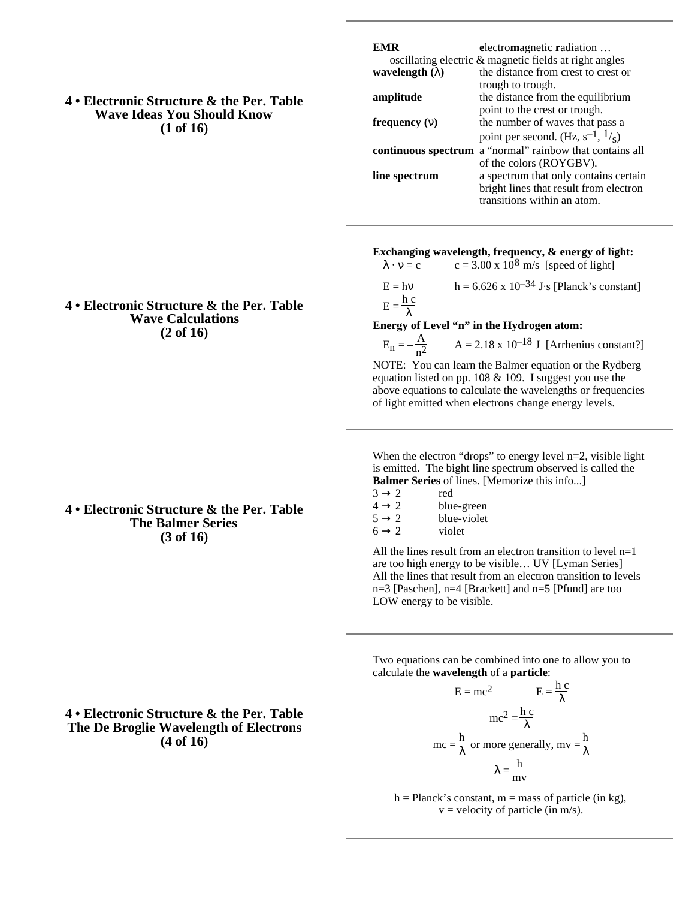**4 • Electronic Structure & the Per. Table Wave Ideas You Should Know (1 of 16)**

| EMR                                                    | electromagnetic radiation                                |  |  |
|--------------------------------------------------------|----------------------------------------------------------|--|--|
| oscillating electric & magnetic fields at right angles |                                                          |  |  |
| wavelength $( )$                                       | the distance from crest to crest or                      |  |  |
|                                                        | trough to trough.                                        |  |  |
| amplitude                                              | the distance from the equilibrium                        |  |  |
|                                                        | point to the crest or trough.                            |  |  |
| frequency $( )$                                        | the number of waves that pass a                          |  |  |
|                                                        | point per second. (Hz, $s^{-1}$ , $\frac{1}{s}$ )        |  |  |
|                                                        | continuous spectrum a "normal" rainbow that contains all |  |  |
|                                                        | of the colors (ROYGBV).                                  |  |  |
| line spectrum                                          | a spectrum that only contains certain                    |  |  |
|                                                        | bright lines that result from electron                   |  |  |
|                                                        | transitions within an atom.                              |  |  |

### **Exchanging wavelength, frequency, & energy of light:**

 $\cdot$  = c c = 3.00 x 10<sup>8</sup> m/s [speed of light]

 $E = h$  h = 6.626 x 10<sup>-34</sup> J·s [Planck's constant]  $E = \frac{h c}{h}$ 

### **Energy of Level "n" in the Hydrogen atom:**

 $E_n = -\frac{A}{n^2}$  $n^2$  $A = 2.18 \times 10^{-18}$  J [Arrhenius constant?] NOTE: You can learn the Balmer equation or the Rydberg equation listed on pp.  $108 \& 109$ . I suggest you use the above equations to calculate the wavelengths or frequencies of light emitted when electrons change energy levels.

When the electron "drops" to energy level n=2, visible light is emitted. The bight line spectrum observed is called the **Balmer Series** of lines. [Memorize this info...]<br>3 2 red

| 3 | red        |
|---|------------|
| Δ | blue-green |

|  | blue-violet |
|--|-------------|
|  |             |

mc

| 6 | violet |
|---|--------|
|   |        |

All the lines result from an electron transition to level n=1 are too high energy to be visible… UV [Lyman Series] All the lines that result from an electron transition to levels n=3 [Paschen], n=4 [Brackett] and n=5 [Pfund] are too LOW energy to be visible.

Two equations can be combined into one to allow you to calculate the **wavelength** of a **particle**:

$$
E = mc2 \qquad E = \frac{hc}{mc}
$$

$$
mc2 = \frac{hc}{mc}
$$

$$
= \frac{h}{mc} \qquad mc = \frac{hc}{mc}
$$

$$
= \frac{1}{mv}
$$

 $h =$  Planck's constant,  $m =$  mass of particle (in kg),  $v =$  velocity of particle (in m/s).

### **4 • Electronic Structure & the Per. Table Wave Calculations (2 of 16)**

## **4 • Electronic Structure & the Per. Table The Balmer Series (3 of 16)**

## **4 • Electronic Structure & the Per. Table The De Broglie Wavelength of Electrons (4 of 16)**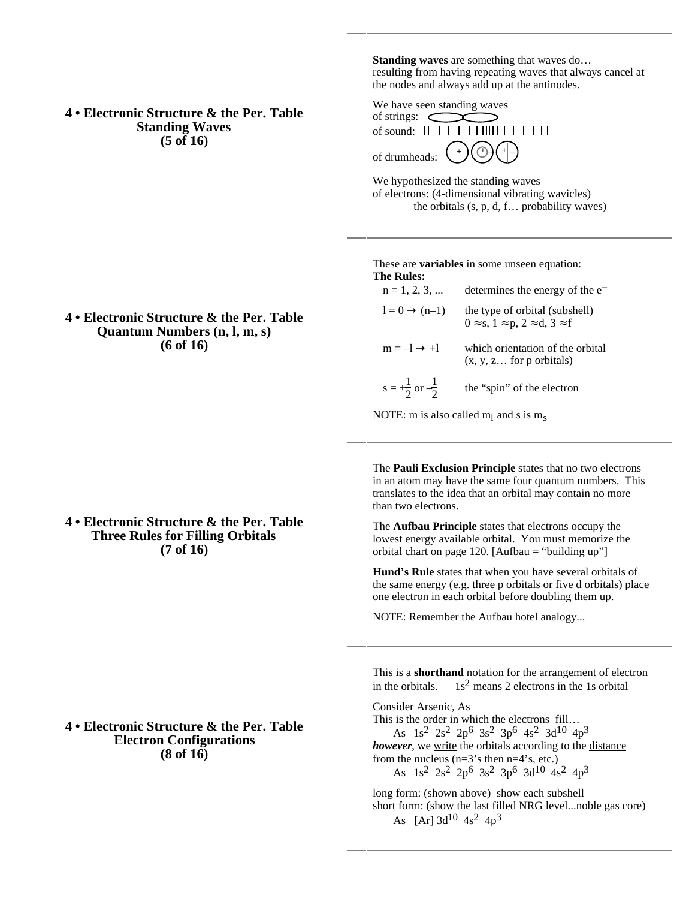**4 • Electronic Structure & the Per. Table Standing Waves (5 of 16)**

**Standing waves** are something that waves do… resulting from having repeating waves that always cancel at the nodes and always add up at the antinodes.

We have seen standing waves of strings: of sound: of drumheads: + + – + –

We hypothesized the standing waves of electrons: (4-dimensional vibrating wavicles) the orbitals (s, p, d, f… probability waves)

#### These are **variables** in some unseen equation: **The Rules:**

| $n = 1, 2, 3, $                      | determines the energy of the $e^-$                             |  |
|--------------------------------------|----------------------------------------------------------------|--|
| $l = 0$ (n-1)                        | the type of orbital (subshell)<br>0 s, 1 p, 2 d, 3 f           |  |
| $m = -1$ +1                          | which orientation of the orbital<br>$(x, y, z$ for p orbitals) |  |
| $s = +\frac{1}{2}$ or $-\frac{1}{2}$ | the "spin" of the electron                                     |  |

NOTE: m is also called  $m<sub>l</sub>$  and s is  $m<sub>s</sub>$ 

The **Pauli Exclusion Principle** states that no two electrons in an atom may have the same four quantum numbers. This translates to the idea that an orbital may contain no more than two electrons.

The **Aufbau Principle** states that electrons occupy the lowest energy available orbital. You must memorize the orbital chart on page 120. [Aufbau  $=$  "building up"]

**Hund's Rule** states that when you have several orbitals of the same energy (e.g. three p orbitals or five d orbitals) place one electron in each orbital before doubling them up.

NOTE: Remember the Aufbau hotel analogy...

This is a **shorthand** notation for the arrangement of electron in the orbitals.  $1s^2$  means 2 electrons in the 1s orbital

Consider Arsenic, As This is the order in which the electrons fill… As 1s2 2s2 2p6 3s2 3p6 4s2 3d10 4p3 *however*, we write the orbitals according to the distance from the nucleus  $(n=3)$ 's then  $n=4$ 's, etc.) As  $1s^2$   $2s^2$   $2p^6$   $3s^2$   $3p^6$   $3d^{10}$   $4s^2$   $4p^3$ long form: (shown above) show each subshell

short form: (show the last filled NRG level...noble gas core) As  $[Ar]$  3d<sup>10</sup> 4s<sup>2</sup> 4p<sup>3</sup>

## **4 • Electronic Structure & the Per. Table Quantum Numbers (n, l, m, s) (6 of 16)**

**4 • Electronic Structure & the Per. Table Three Rules for Filling Orbitals (7 of 16)**

# **4 • Electronic Structure & the Per. Table Electron Configurations (8 of 16)**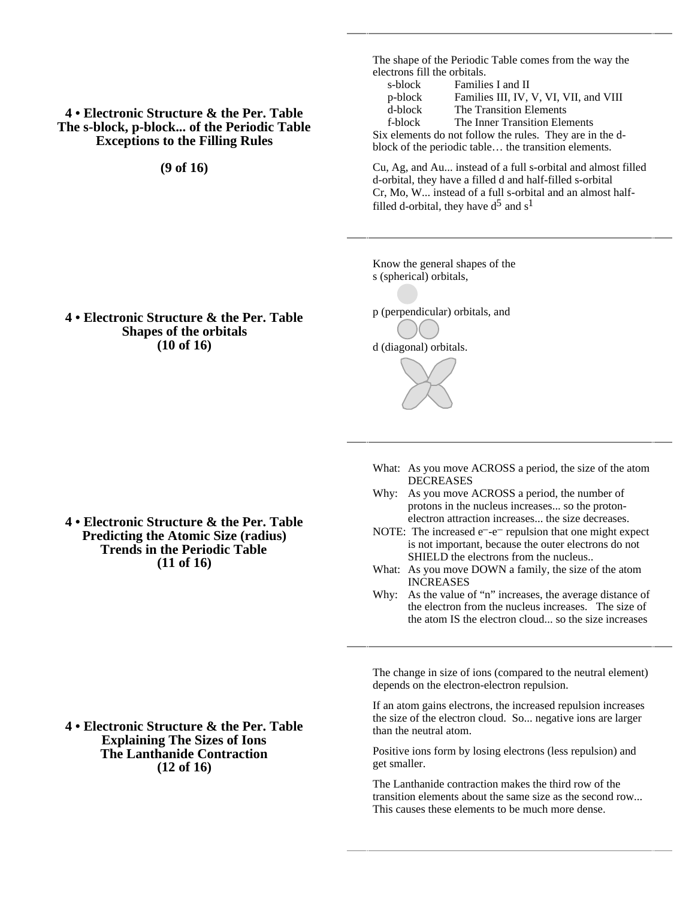# **4 • Electronic Structure & the Per. Table The s-block, p-block... of the Periodic Table Exceptions to the Filling Rules**

**(9 of 16)**

The shape of the Periodic Table comes from the way the electrons fill the orbitals.

s-block Families I and II<br>p-block Families III, IV, p-block Families III, IV, V, VI, VII, and VIII<br>d-block The Transition Elements The Transition Elements f-block The Inner Transition Elements Six elements do not follow the rules. They are in the dblock of the periodic table… the transition elements.

Cu, Ag, and Au... instead of a full s-orbital and almost filled d-orbital, they have a filled d and half-filled s-orbital Cr, Mo, W... instead of a full s-orbital and an almost halffilled d-orbital, they have  $d^5$  and  $s^1$ 

Know the general shapes of the s (spherical) orbitals,

p (perpendicular) orbitals, and

d (diagonal) orbitals.

**4 • Electronic Structure & the Per. Table Shapes of the orbitals (10 of 16)**

> What: As you move ACROSS a period, the size of the atom **DECREASES**

- Why: As you move ACROSS a period, the number of protons in the nucleus increases... so the protonelectron attraction increases... the size decreases.
- NOTE: The increased  $e^-$ - $e^-$  repulsion that one might expect is not important, because the outer electrons do not SHIELD the electrons from the nucleus..
- What: As you move DOWN a family, the size of the atom INCREASES
- Why: As the value of "n" increases, the average distance of the electron from the nucleus increases. The size of the atom IS the electron cloud... so the size increases

The change in size of ions (compared to the neutral element) depends on the electron-electron repulsion.

If an atom gains electrons, the increased repulsion increases the size of the electron cloud. So... negative ions are larger than the neutral atom.

Positive ions form by losing electrons (less repulsion) and get smaller.

The Lanthanide contraction makes the third row of the transition elements about the same size as the second row... This causes these elements to be much more dense.

**4 • Electronic Structure & the Per. Table Predicting the Atomic Size (radius) Trends in the Periodic Table (11 of 16)**

**4 • Electronic Structure & the Per. Table Explaining The Sizes of Ions The Lanthanide Contraction (12 of 16)**